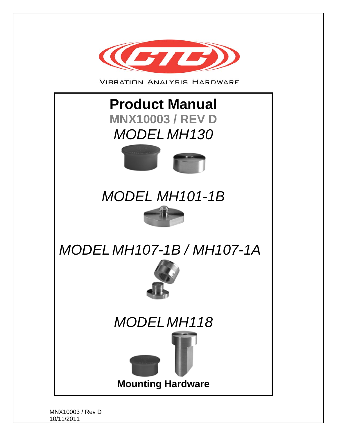

**VIBRATION ANALYSIS HARDWARE** 





# *MODEL MH101-1B*

# *MODEL MH107-1B / MH107-1A*







MNX10003 / Rev D 10/11/2011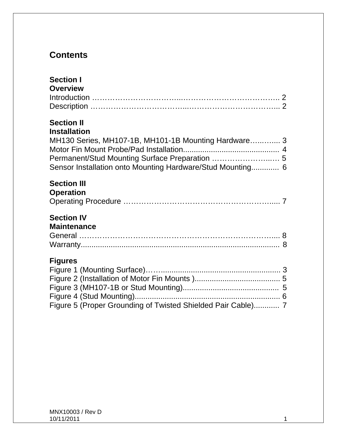## **Contents**

| <b>Section I</b><br><b>Overview</b>                                                                                                                                                                              |  |
|------------------------------------------------------------------------------------------------------------------------------------------------------------------------------------------------------------------|--|
| <b>Section II</b><br><b>Installation</b><br>MH130 Series, MH107-1B, MH101-1B Mounting Hardware 3<br>Permanent/Stud Mounting Surface Preparation  5<br>Sensor Installation onto Mounting Hardware/Stud Mounting 6 |  |
| <b>Section III</b><br><b>Operation</b>                                                                                                                                                                           |  |
| <b>Section IV</b><br><b>Maintenance</b>                                                                                                                                                                          |  |
| <b>Figures</b><br>Figure 5 (Proper Grounding of Twisted Shielded Pair Cable) 7                                                                                                                                   |  |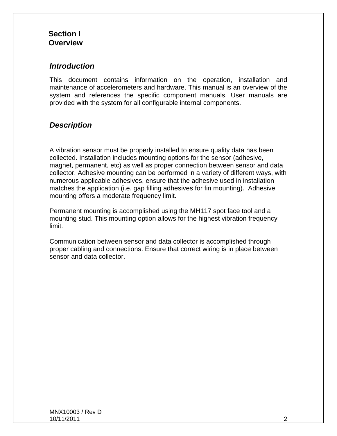#### **Section I Overview**

#### *Introduction*

This document contains information on the operation, installation and maintenance of accelerometers and hardware. This manual is an overview of the system and references the specific component manuals. User manuals are provided with the system for all configurable internal components.

#### *Description*

A vibration sensor must be properly installed to ensure quality data has been collected. Installation includes mounting options for the sensor (adhesive, magnet, permanent, etc) as well as proper connection between sensor and data collector. Adhesive mounting can be performed in a variety of different ways, with numerous applicable adhesives, ensure that the adhesive used in installation matches the application (i.e. gap filling adhesives for fin mounting). Adhesive mounting offers a moderate frequency limit.

Permanent mounting is accomplished using the MH117 spot face tool and a mounting stud. This mounting option allows for the highest vibration frequency limit.

Communication between sensor and data collector is accomplished through proper cabling and connections. Ensure that correct wiring is in place between sensor and data collector.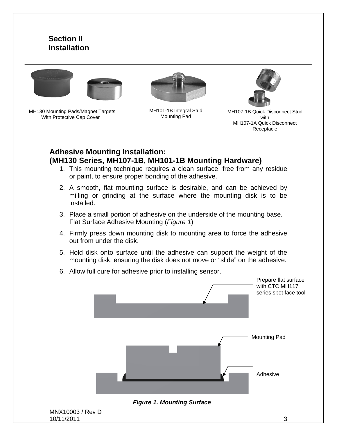#### **Section II Installation**



MH130 Mounting Pads/Magnet Targets With Protective Cap Cover

MH101-1B Integral Stud Mounting Pad



MH107-1B Quick Disconnect Stud with MH107-1A Quick Disconnect Receptacle

#### **Adhesive Mounting Installation: (MH130 Series, MH107-1B, MH101-1B Mounting Hardware)**

- 1. This mounting technique requires a clean surface, free from any residue or paint, to ensure proper bonding of the adhesive.
- 2. A smooth, flat mounting surface is desirable, and can be achieved by milling or grinding at the surface where the mounting disk is to be installed.
- 3. Place a small portion of adhesive on the underside of the mounting base. Flat Surface Adhesive Mounting (*Figure 1*)
- 4. Firmly press down mounting disk to mounting area to force the adhesive out from under the disk.
- 5. Hold disk onto surface until the adhesive can support the weight of the mounting disk, ensuring the disk does not move or "slide" on the adhesive.
- 6. Allow full cure for adhesive prior to installing sensor.



MNX10003 / Rev D 10/11/2011 3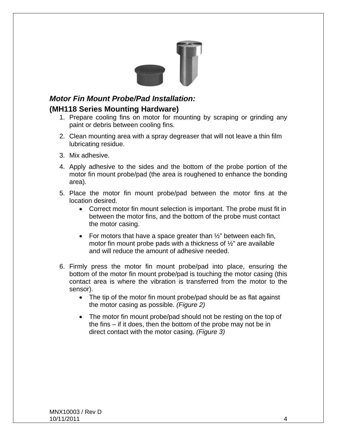

# *Motor Fin Mount Probe/Pad Installation:*

#### **(MH118 Series Mounting Hardware)**

- 1. Prepare cooling fins on motor for mounting by scraping or grinding any paint or debris between cooling fins.
- 2. Clean mounting area with a spray degreaser that will not leave a thin film lubricating residue.
- 3. Mix adhesive.
- 4. Apply adhesive to the sides and the bottom of the probe portion of the motor fin mount probe/pad (the area is roughened to enhance the bonding area).
- 5. Place the motor fin mount probe/pad between the motor fins at the location desired.
	- Correct motor fin mount selection is important. The probe must fit in between the motor fins, and the bottom of the probe must contact the motor casing.
	- For motors that have a space greater than  $\frac{1}{2}$ " between each fin, motor fin mount probe pads with a thickness of ½" are available and will reduce the amount of adhesive needed.
- 6. Firmly press the motor fin mount probe/pad into place, ensuring the bottom of the motor fin mount probe/pad is touching the motor casing (this contact area is where the vibration is transferred from the motor to the sensor).
	- The tip of the motor fin mount probe/pad should be as flat against the motor casing as possible. *(Figure 2)*
	- The motor fin mount probe/pad should not be resting on the top of the fins – if it does, then the bottom of the probe may not be in direct contact with the motor casing. *(Figure 3)*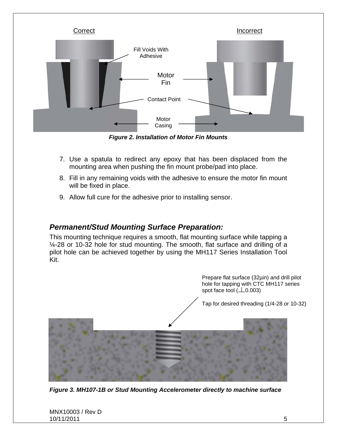

 *Figure 2. Installation of Motor Fin Mounts*

- 7. Use a spatula to redirect any epoxy that has been displaced from the mounting area when pushing the fin mount probe/pad into place.
- 8. Fill in any remaining voids with the adhesive to ensure the motor fin mount will be fixed in place.
- 9. Allow full cure for the adhesive prior to installing sensor.

#### *Permanent/Stud Mounting Surface Preparation:*

This mounting technique requires a smooth, flat mounting surface while tapping a ¼-28 or 10-32 hole for stud mounting. The smooth, flat surface and drilling of a pilot hole can be achieved together by using the MH117 Series Installation Tool Kit.

> Prepare flat surface (32µin) and drill pilot hole for tapping with CTC MH117 series spot face tool  $(\perp 0.003)$

Tap for desired threading (1/4-28 or 10-32)



*Figure 3. MH107-1B or Stud Mounting Accelerometer directly to machine surface*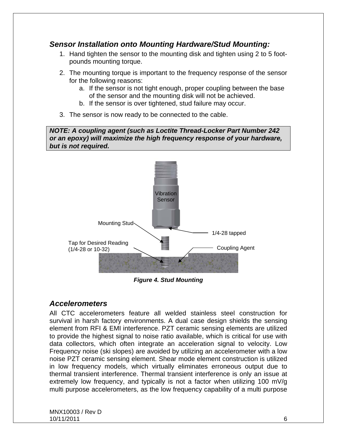#### *Sensor Installation onto Mounting Hardware/Stud Mounting:*

- 1. Hand tighten the sensor to the mounting disk and tighten using 2 to 5 footpounds mounting torque.
- 2. The mounting torque is important to the frequency response of the sensor for the following reasons:
	- a. If the sensor is not tight enough, proper coupling between the base of the sensor and the mounting disk will not be achieved.
	- b. If the sensor is over tightened, stud failure may occur.
- 3. The sensor is now ready to be connected to the cable.

*NOTE: A coupling agent (such as Loctite Thread-Locker Part Number 242 or an epoxy) will maximize the high frequency response of your hardware, but is not required.* 



*Figure 4. Stud Mounting* 

#### *Accelerometers*

All CTC accelerometers feature all welded stainless steel construction for survival in harsh factory environments. A dual case design shields the sensing element from RFI & EMI interference. PZT ceramic sensing elements are utilized to provide the highest signal to noise ratio available, which is critical for use with data collectors, which often integrate an acceleration signal to velocity. Low Frequency noise (ski slopes) are avoided by utilizing an accelerometer with a low noise PZT ceramic sensing element. Shear mode element construction is utilized in low frequency models, which virtually eliminates erroneous output due to thermal transient interference. Thermal transient interference is only an issue at extremely low frequency, and typically is not a factor when utilizing 100 mV/g multi purpose accelerometers, as the low frequency capability of a multi purpose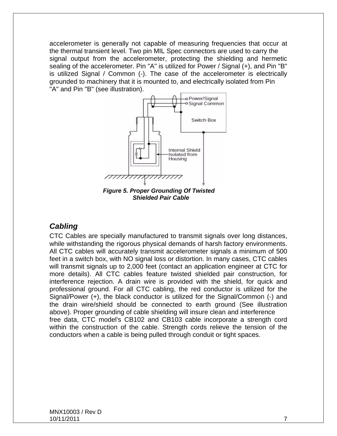accelerometer is generally not capable of measuring frequencies that occur at the thermal transient level. Two pin MIL Spec connectors are used to carry the signal output from the accelerometer, protecting the shielding and hermetic sealing of the accelerometer. Pin "A" is utilized for Power / Signal (+), and Pin "B" is utilized Signal / Common (-). The case of the accelerometer is electrically grounded to machinery that it is mounted to, and electrically isolated from Pin "A" and Pin "B" (see illustration).



*Figure 5. Proper Grounding Of Twisted Shielded Pair Cable* 

#### *Cabling*

CTC Cables are specially manufactured to transmit signals over long distances, while withstanding the rigorous physical demands of harsh factory environments. All CTC cables will accurately transmit accelerometer signals a minimum of 500 feet in a switch box, with NO signal loss or distortion. In many cases, CTC cables will transmit signals up to 2,000 feet (contact an application engineer at CTC for more details). All CTC cables feature twisted shielded pair construction, for interference rejection. A drain wire is provided with the shield, for quick and professional ground. For all CTC cabling, the red conductor is utilized for the Signal/Power (+), the black conductor is utilized for the Signal/Common (-) and the drain wire/shield should be connected to earth ground (See illustration above). Proper grounding of cable shielding will insure clean and interference free data, CTC model's CB102 and CB103 cable incorporate a strength cord within the construction of the cable. Strength cords relieve the tension of the conductors when a cable is being pulled through conduit or tight spaces.